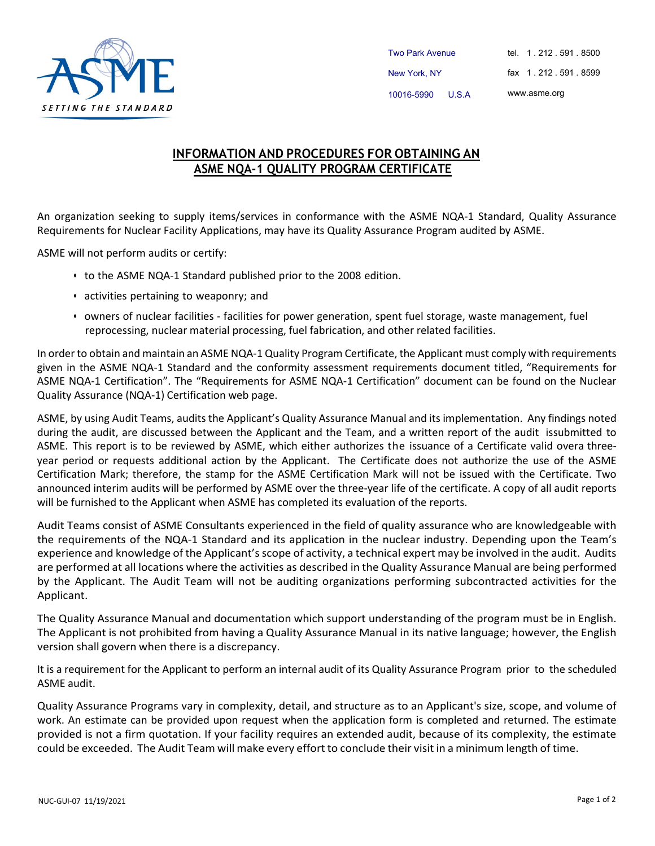

Two Park Avenue New York, NY 10016-5990 U.S.A tel. 1 . 212 . 591 . 8500 fax 1 . 212 . 591 . 8599 [www.asme.org](http://www.asme.org/)

## **INFORMATION AND PROCEDURES FOR OBTAINING AN ASME NQA-1 QUALITY PROGRAM CERTIFICATE**

An organization seeking to supply items/services in conformance with the ASME NQA-1 Standard, Quality Assurance Requirements for Nuclear Facility Applications, may have its Quality Assurance Program audited by ASME.

ASME will not perform audits or certify:

- to the ASME NQA-1 Standard published prior to the 2008 edition.
- activities pertaining to weaponry; and
- owners of nuclear facilities facilities for power generation, spent fuel storage, waste management, fuel reprocessing, nuclear material processing, fuel fabrication, and other related facilities.

In orderto obtain and maintain an ASME NQA-1 Quality Program Certificate, the Applicant must comply with requirements given in the ASME NQA-1 Standard and the conformity assessment requirements document titled, "Requirements for ASME NQA-1 Certification". The "Requirements for ASME NQA-1 Certification" document can be found on the Nuclear Quality Assurance (NQA-1) Certification web page.

ASME, by using Audit Teams, audits the Applicant's Quality Assurance Manual and its implementation. Any findings noted during the audit, are discussed between the Applicant and the Team, and a written report of the audit issubmitted to ASME. This report is to be reviewed by ASME, which either authorizes the issuance of a Certificate valid overa threeyear period or requests additional action by the Applicant. The Certificate does not authorize the use of the ASME Certification Mark; therefore, the stamp for the ASME Certification Mark will not be issued with the Certificate. Two announced interim audits will be performed by ASME over the three-year life of the certificate. A copy of all audit reports will be furnished to the Applicant when ASME has completed its evaluation of the reports.

Audit Teams consist of ASME Consultants experienced in the field of quality assurance who are knowledgeable with the requirements of the NQA-1 Standard and its application in the nuclear industry. Depending upon the Team's experience and knowledge of the Applicant'sscope of activity, a technical expert may be involved in the audit. Audits are performed at all locations where the activities as described in the Quality Assurance Manual are being performed by the Applicant. The Audit Team will not be auditing organizations performing subcontracted activities for the Applicant.

The Quality Assurance Manual and documentation which support understanding of the program must be in English. The Applicant is not prohibited from having a Quality Assurance Manual in its native language; however, the English version shall govern when there is a discrepancy.

It is a requirement for the Applicant to perform an internal audit of its Quality Assurance Program prior to the scheduled ASME audit.

Quality Assurance Programs vary in complexity, detail, and structure as to an Applicant's size, scope, and volume of work. An estimate can be provided upon request when the application form is completed and returned. The estimate provided is not a firm quotation. If your facility requires an extended audit, because of its complexity, the estimate could be exceeded. The Audit Team will make every effort to conclude their visit in a minimum length of time.